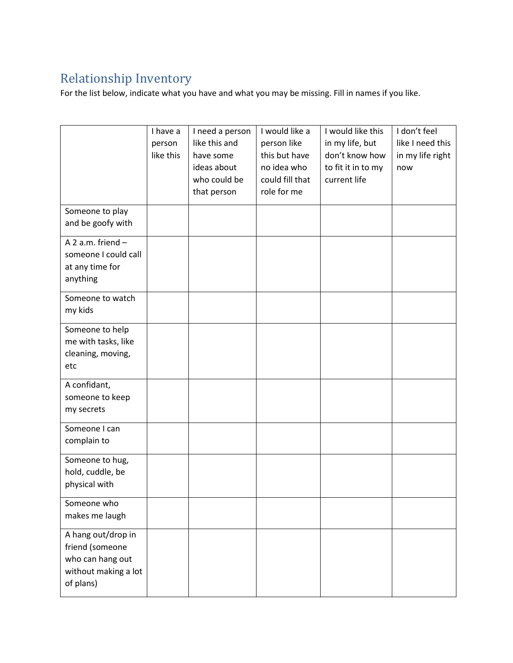## Relationship Inventory

For the list below, indicate what you have and what you may be missing. Fill in names if you like.

|                      | I have a  | I need a person | I would like a  | I would like this  | I don't feel     |
|----------------------|-----------|-----------------|-----------------|--------------------|------------------|
|                      | person    | like this and   | person like     | in my life, but    | like I need this |
|                      | like this | have some       | this but have   | don't know how     | in my life right |
|                      |           | ideas about     | no idea who     | to fit it in to my | now              |
|                      |           | who could be    | could fill that | current life       |                  |
|                      |           | that person     | role for me     |                    |                  |
|                      |           |                 |                 |                    |                  |
| Someone to play      |           |                 |                 |                    |                  |
| and be goofy with    |           |                 |                 |                    |                  |
| A 2 a.m. friend -    |           |                 |                 |                    |                  |
| someone I could call |           |                 |                 |                    |                  |
|                      |           |                 |                 |                    |                  |
| at any time for      |           |                 |                 |                    |                  |
| anything             |           |                 |                 |                    |                  |
| Someone to watch     |           |                 |                 |                    |                  |
| my kids              |           |                 |                 |                    |                  |
|                      |           |                 |                 |                    |                  |
| Someone to help      |           |                 |                 |                    |                  |
| me with tasks, like  |           |                 |                 |                    |                  |
| cleaning, moving,    |           |                 |                 |                    |                  |
| etc                  |           |                 |                 |                    |                  |
| A confidant,         |           |                 |                 |                    |                  |
|                      |           |                 |                 |                    |                  |
| someone to keep      |           |                 |                 |                    |                  |
| my secrets           |           |                 |                 |                    |                  |
| Someone I can        |           |                 |                 |                    |                  |
| complain to          |           |                 |                 |                    |                  |
|                      |           |                 |                 |                    |                  |
| Someone to hug,      |           |                 |                 |                    |                  |
| hold, cuddle, be     |           |                 |                 |                    |                  |
| physical with        |           |                 |                 |                    |                  |
| Someone who          |           |                 |                 |                    |                  |
| makes me laugh       |           |                 |                 |                    |                  |
|                      |           |                 |                 |                    |                  |
| A hang out/drop in   |           |                 |                 |                    |                  |
| friend (someone      |           |                 |                 |                    |                  |
| who can hang out     |           |                 |                 |                    |                  |
| without making a lot |           |                 |                 |                    |                  |
| of plans)            |           |                 |                 |                    |                  |
|                      |           |                 |                 |                    |                  |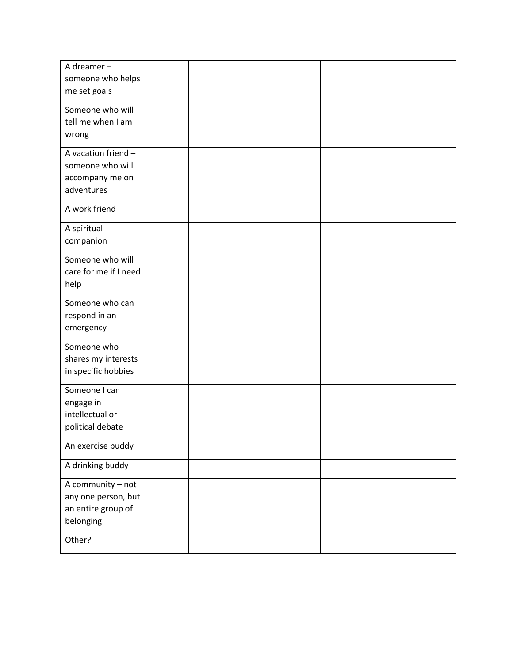| A dreamer-            |  |  |  |
|-----------------------|--|--|--|
|                       |  |  |  |
| someone who helps     |  |  |  |
| me set goals          |  |  |  |
|                       |  |  |  |
| Someone who will      |  |  |  |
| tell me when I am     |  |  |  |
| wrong                 |  |  |  |
|                       |  |  |  |
| A vacation friend -   |  |  |  |
| someone who will      |  |  |  |
| accompany me on       |  |  |  |
| adventures            |  |  |  |
|                       |  |  |  |
| A work friend         |  |  |  |
|                       |  |  |  |
| A spiritual           |  |  |  |
| companion             |  |  |  |
|                       |  |  |  |
| Someone who will      |  |  |  |
| care for me if I need |  |  |  |
| help                  |  |  |  |
|                       |  |  |  |
| Someone who can       |  |  |  |
| respond in an         |  |  |  |
|                       |  |  |  |
| emergency             |  |  |  |
| Someone who           |  |  |  |
| shares my interests   |  |  |  |
| in specific hobbies   |  |  |  |
|                       |  |  |  |
| Someone I can         |  |  |  |
| engage in             |  |  |  |
| intellectual or       |  |  |  |
|                       |  |  |  |
| political debate      |  |  |  |
| An exercise buddy     |  |  |  |
|                       |  |  |  |
| A drinking buddy      |  |  |  |
|                       |  |  |  |
| A community - not     |  |  |  |
| any one person, but   |  |  |  |
| an entire group of    |  |  |  |
| belonging             |  |  |  |
|                       |  |  |  |
| Other?                |  |  |  |
|                       |  |  |  |